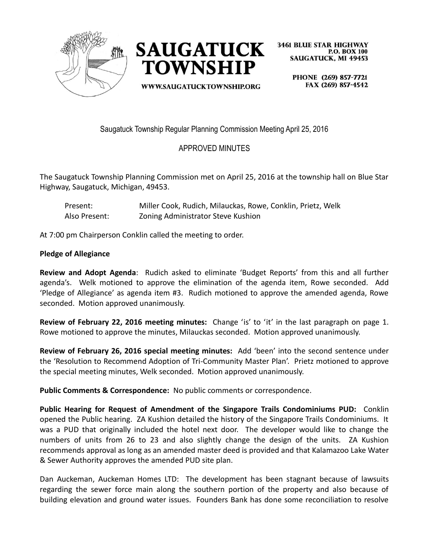



WWW.SAUGATUCKTOWNSHIP.ORG

**3461 BLUE STAR HIGHWAY P.O. BOX 100 SAUGATUCK, MI 49453** 

> PHONE (269) 857-7721 FAX (269) 857-4542

Saugatuck Township Regular Planning Commission Meeting April 25, 2016

## APPROVED MINUTES

The Saugatuck Township Planning Commission met on April 25, 2016 at the township hall on Blue Star Highway, Saugatuck, Michigan, 49453.

Present: Miller Cook, Rudich, Milauckas, Rowe, Conklin, Prietz, Welk Also Present: Zoning Administrator Steve Kushion

At 7:00 pm Chairperson Conklin called the meeting to order.

## **Pledge of Allegiance**

**Review and Adopt Agenda**: Rudich asked to eliminate 'Budget Reports' from this and all further agenda's. Welk motioned to approve the elimination of the agenda item, Rowe seconded. Add 'Pledge of Allegiance' as agenda item #3. Rudich motioned to approve the amended agenda, Rowe seconded. Motion approved unanimously.

**Review of February 22, 2016 meeting minutes:** Change 'is' to 'it' in the last paragraph on page 1. Rowe motioned to approve the minutes, Milauckas seconded. Motion approved unanimously.

**Review of February 26, 2016 special meeting minutes:** Add 'been' into the second sentence under the 'Resolution to Recommend Adoption of Tri-Community Master Plan'. Prietz motioned to approve the special meeting minutes, Welk seconded. Motion approved unanimously.

**Public Comments & Correspondence:** No public comments or correspondence.

**Public Hearing for Request of Amendment of the Singapore Trails Condominiums PUD:** Conklin opened the Public hearing. ZA Kushion detailed the history of the Singapore Trails Condominiums. It was a PUD that originally included the hotel next door. The developer would like to change the numbers of units from 26 to 23 and also slightly change the design of the units. ZA Kushion recommends approval as long as an amended master deed is provided and that Kalamazoo Lake Water & Sewer Authority approves the amended PUD site plan.

Dan Auckeman, Auckeman Homes LTD: The development has been stagnant because of lawsuits regarding the sewer force main along the southern portion of the property and also because of building elevation and ground water issues. Founders Bank has done some reconciliation to resolve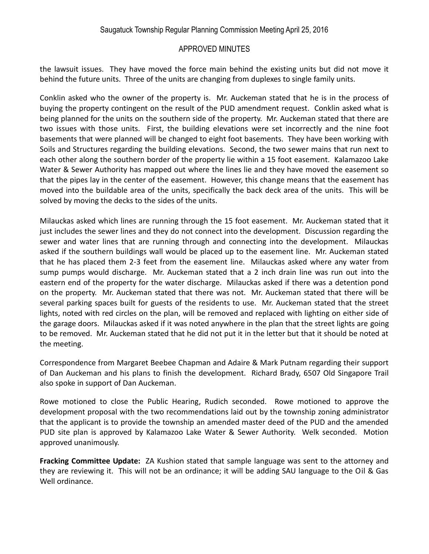## APPROVED MINUTES

the lawsuit issues. They have moved the force main behind the existing units but did not move it behind the future units. Three of the units are changing from duplexes to single family units.

Conklin asked who the owner of the property is. Mr. Auckeman stated that he is in the process of buying the property contingent on the result of the PUD amendment request. Conklin asked what is being planned for the units on the southern side of the property. Mr. Auckeman stated that there are two issues with those units. First, the building elevations were set incorrectly and the nine foot basements that were planned will be changed to eight foot basements. They have been working with Soils and Structures regarding the building elevations. Second, the two sewer mains that run next to each other along the southern border of the property lie within a 15 foot easement. Kalamazoo Lake Water & Sewer Authority has mapped out where the lines lie and they have moved the easement so that the pipes lay in the center of the easement. However, this change means that the easement has moved into the buildable area of the units, specifically the back deck area of the units. This will be solved by moving the decks to the sides of the units.

Milauckas asked which lines are running through the 15 foot easement. Mr. Auckeman stated that it just includes the sewer lines and they do not connect into the development. Discussion regarding the sewer and water lines that are running through and connecting into the development. Milauckas asked if the southern buildings wall would be placed up to the easement line. Mr. Auckeman stated that he has placed them 2-3 feet from the easement line. Milauckas asked where any water from sump pumps would discharge. Mr. Auckeman stated that a 2 inch drain line was run out into the eastern end of the property for the water discharge. Milauckas asked if there was a detention pond on the property. Mr. Auckeman stated that there was not. Mr. Auckeman stated that there will be several parking spaces built for guests of the residents to use. Mr. Auckeman stated that the street lights, noted with red circles on the plan, will be removed and replaced with lighting on either side of the garage doors. Milauckas asked if it was noted anywhere in the plan that the street lights are going to be removed. Mr. Auckeman stated that he did not put it in the letter but that it should be noted at the meeting.

Correspondence from Margaret Beebee Chapman and Adaire & Mark Putnam regarding their support of Dan Auckeman and his plans to finish the development. Richard Brady, 6507 Old Singapore Trail also spoke in support of Dan Auckeman.

Rowe motioned to close the Public Hearing, Rudich seconded. Rowe motioned to approve the development proposal with the two recommendations laid out by the township zoning administrator that the applicant is to provide the township an amended master deed of the PUD and the amended PUD site plan is approved by Kalamazoo Lake Water & Sewer Authority. Welk seconded. Motion approved unanimously.

**Fracking Committee Update:** ZA Kushion stated that sample language was sent to the attorney and they are reviewing it. This will not be an ordinance; it will be adding SAU language to the Oil & Gas Well ordinance.